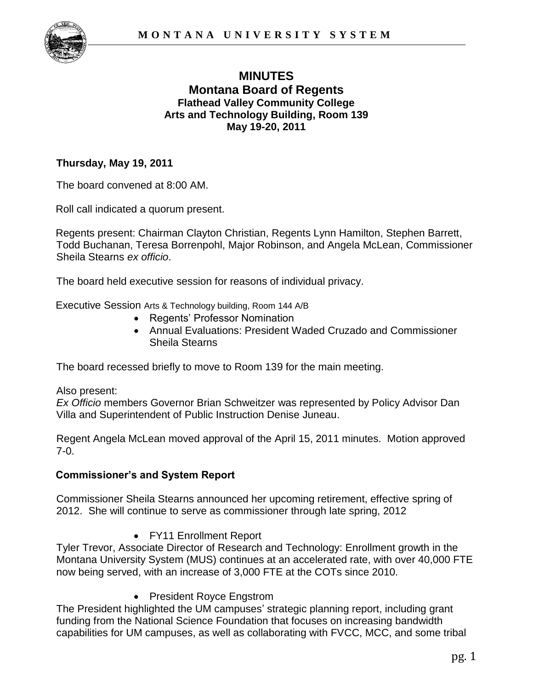

# **MINUTES Montana Board of Regents Flathead Valley Community College Arts and Technology Building, Room 139 May 19-20, 2011**

## **Thursday, May 19, 2011**

The board convened at 8:00 AM.

Roll call indicated a quorum present.

Regents present: Chairman Clayton Christian, Regents Lynn Hamilton, Stephen Barrett, Todd Buchanan, Teresa Borrenpohl, Major Robinson, and Angela McLean, Commissioner Sheila Stearns *ex officio*.

The board held executive session for reasons of individual privacy.

Executive Session Arts & Technology building, Room 144 A/B

- Regents' Professor Nomination
- Annual Evaluations: President Waded Cruzado and Commissioner Sheila Stearns

The board recessed briefly to move to Room 139 for the main meeting.

#### Also present:

*Ex Officio* members Governor Brian Schweitzer was represented by Policy Advisor Dan Villa and Superintendent of Public Instruction Denise Juneau.

Regent Angela McLean moved approval of the April 15, 2011 minutes. Motion approved 7-0.

### **Commissioner's and System Report**

Commissioner Sheila Stearns announced her upcoming retirement, effective spring of 2012. She will continue to serve as commissioner through late spring, 2012

FY11 Enrollment Report

Tyler Trevor, Associate Director of Research and Technology: Enrollment growth in the Montana University System (MUS) continues at an accelerated rate, with over 40,000 FTE now being served, with an increase of 3,000 FTE at the COTs since 2010.

• President Royce Engstrom

The President highlighted the UM campuses' strategic planning report, including grant funding from the National Science Foundation that focuses on increasing bandwidth capabilities for UM campuses, as well as collaborating with FVCC, MCC, and some tribal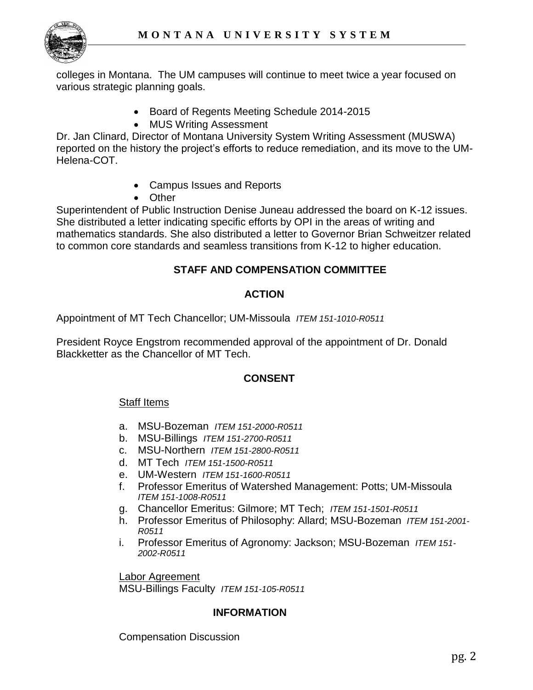colleges in Montana. The UM campuses will continue to meet twice a year focused on various strategic planning goals.

- Board of Regents Meeting Schedule 2014-2015
- MUS Writing Assessment

Dr. Jan Clinard, Director of Montana University System Writing Assessment (MUSWA) reported on the history the project's efforts to reduce remediation, and its move to the UM-Helena-COT.

- Campus Issues and Reports
- Other

Superintendent of Public Instruction Denise Juneau addressed the board on K-12 issues. She distributed a letter indicating specific efforts by OPI in the areas of writing and mathematics standards. She also distributed a letter to Governor Brian Schweitzer related to common core standards and seamless transitions from K-12 to higher education.

# **STAFF AND COMPENSATION COMMITTEE**

## **ACTION**

Appointment of MT Tech Chancellor; UM-Missoula *ITEM 151-1010-R0511*

President Royce Engstrom recommended approval of the appointment of Dr. Donald Blackketter as the Chancellor of MT Tech.

### **CONSENT**

### Staff Items

- a. MSU-Bozeman *ITEM 151-2000-R0511*
- b. MSU-Billings *ITEM 151-2700-R0511*
- c. MSU-Northern *ITEM 151-2800-R0511*
- d. MT Tech *ITEM 151-1500-R0511*
- e. UM-Western *ITEM 151-1600-R0511*
- f. Professor Emeritus of Watershed Management: Potts; UM-Missoula *ITEM 151-1008-R0511*
- g. Chancellor Emeritus: Gilmore; MT Tech; *ITEM 151-1501-R0511*
- h. Professor Emeritus of Philosophy: Allard; MSU-Bozeman *ITEM 151-2001- R0511*
- i. Professor Emeritus of Agronomy: Jackson; MSU-Bozeman *ITEM 151- 2002-R0511*

Labor Agreement MSU-Billings Faculty *ITEM 151-105-R0511*

### **INFORMATION**

Compensation Discussion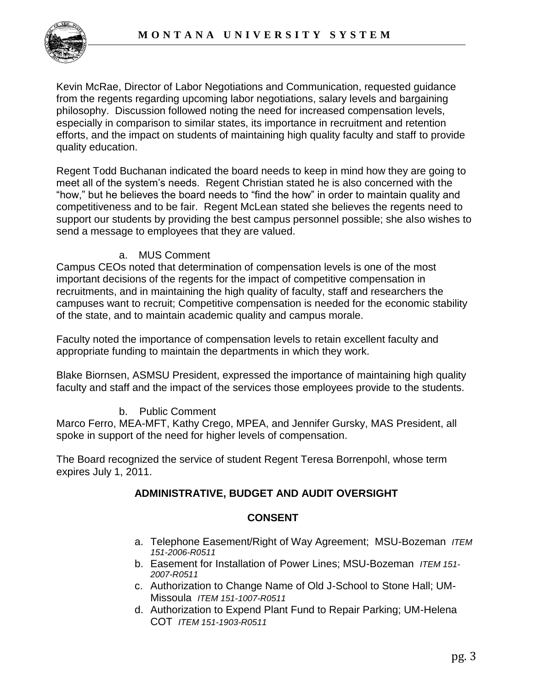

Kevin McRae, Director of Labor Negotiations and Communication, requested guidance from the regents regarding upcoming labor negotiations, salary levels and bargaining philosophy. Discussion followed noting the need for increased compensation levels, especially in comparison to similar states, its importance in recruitment and retention efforts, and the impact on students of maintaining high quality faculty and staff to provide quality education.

Regent Todd Buchanan indicated the board needs to keep in mind how they are going to meet all of the system's needs. Regent Christian stated he is also concerned with the "how," but he believes the board needs to "find the how" in order to maintain quality and competitiveness and to be fair. Regent McLean stated she believes the regents need to support our students by providing the best campus personnel possible; she also wishes to send a message to employees that they are valued.

# a. MUS Comment

Campus CEOs noted that determination of compensation levels is one of the most important decisions of the regents for the impact of competitive compensation in recruitments, and in maintaining the high quality of faculty, staff and researchers the campuses want to recruit; Competitive compensation is needed for the economic stability of the state, and to maintain academic quality and campus morale.

Faculty noted the importance of compensation levels to retain excellent faculty and appropriate funding to maintain the departments in which they work.

Blake Biornsen, ASMSU President, expressed the importance of maintaining high quality faculty and staff and the impact of the services those employees provide to the students.

# b. Public Comment

Marco Ferro, MEA-MFT, Kathy Crego, MPEA, and Jennifer Gursky, MAS President, all spoke in support of the need for higher levels of compensation.

The Board recognized the service of student Regent Teresa Borrenpohl, whose term expires July 1, 2011.

# **ADMINISTRATIVE, BUDGET AND AUDIT OVERSIGHT**

# **CONSENT**

- a. Telephone Easement/Right of Way Agreement; MSU-Bozeman *ITEM 151-2006-R0511*
- b. Easement for Installation of Power Lines; MSU-Bozeman *ITEM 151- 2007-R0511*
- c. Authorization to Change Name of Old J-School to Stone Hall; UM-Missoula *ITEM 151-1007-R0511*
- d. Authorization to Expend Plant Fund to Repair Parking; UM-Helena COT *ITEM 151-1903-R0511*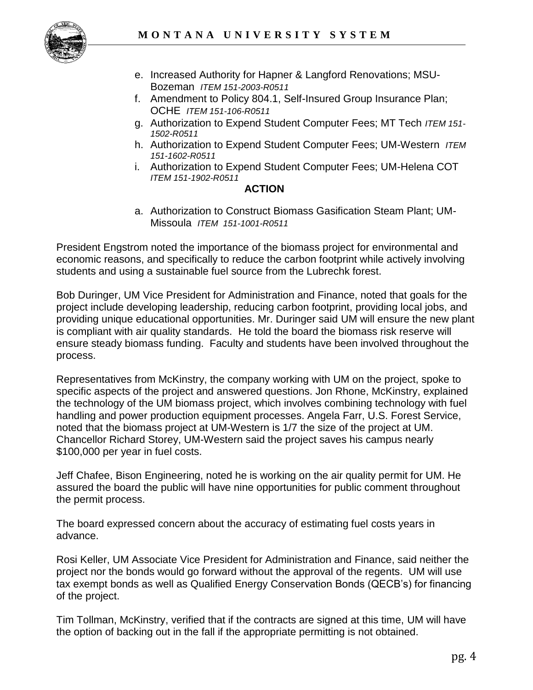

- e. Increased Authority for Hapner & Langford Renovations; MSU-Bozeman *ITEM 151-2003-R0511*
- f. Amendment to Policy 804.1, Self-Insured Group Insurance Plan; OCHE *ITEM 151-106-R0511*
- g. Authorization to Expend Student Computer Fees; MT Tech *ITEM 151- 1502-R0511*
- h. Authorization to Expend Student Computer Fees; UM-Western *ITEM 151-1602-R0511*
- i. Authorization to Expend Student Computer Fees; UM-Helena COT *ITEM 151-1902-R0511*

### **ACTION**

a. Authorization to Construct Biomass Gasification Steam Plant; UM-Missoula *ITEM 151-1001-R0511* 

President Engstrom noted the importance of the biomass project for environmental and economic reasons, and specifically to reduce the carbon footprint while actively involving students and using a sustainable fuel source from the Lubrechk forest.

Bob Duringer, UM Vice President for Administration and Finance, noted that goals for the project include developing leadership, reducing carbon footprint, providing local jobs, and providing unique educational opportunities. Mr. Duringer said UM will ensure the new plant is compliant with air quality standards. He told the board the biomass risk reserve will ensure steady biomass funding. Faculty and students have been involved throughout the process.

Representatives from McKinstry, the company working with UM on the project, spoke to specific aspects of the project and answered questions. Jon Rhone, McKinstry, explained the technology of the UM biomass project, which involves combining technology with fuel handling and power production equipment processes. Angela Farr, U.S. Forest Service, noted that the biomass project at UM-Western is 1/7 the size of the project at UM. Chancellor Richard Storey, UM-Western said the project saves his campus nearly \$100,000 per year in fuel costs.

Jeff Chafee, Bison Engineering, noted he is working on the air quality permit for UM. He assured the board the public will have nine opportunities for public comment throughout the permit process.

The board expressed concern about the accuracy of estimating fuel costs years in advance.

Rosi Keller, UM Associate Vice President for Administration and Finance, said neither the project nor the bonds would go forward without the approval of the regents. UM will use tax exempt bonds as well as Qualified Energy Conservation Bonds (QECB's) for financing of the project.

Tim Tollman, McKinstry, verified that if the contracts are signed at this time, UM will have the option of backing out in the fall if the appropriate permitting is not obtained.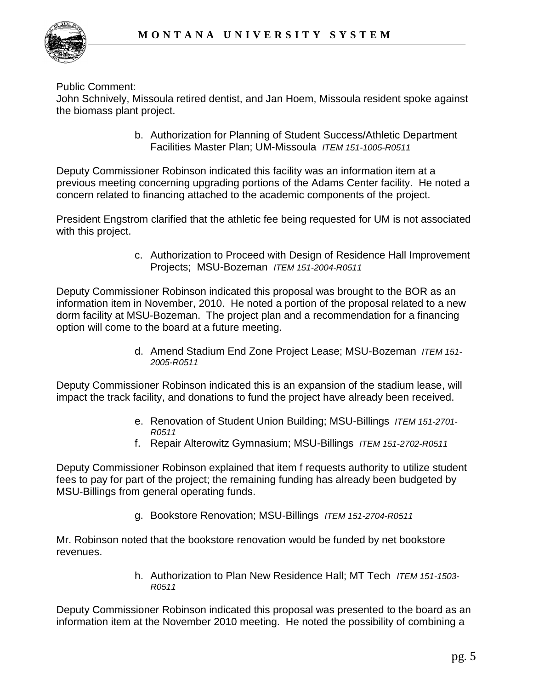

Public Comment:

John Schnively, Missoula retired dentist, and Jan Hoem, Missoula resident spoke against the biomass plant project.

> b. Authorization for Planning of Student Success/Athletic Department Facilities Master Plan; UM-Missoula *ITEM 151-1005-R0511*

Deputy Commissioner Robinson indicated this facility was an information item at a previous meeting concerning upgrading portions of the Adams Center facility. He noted a concern related to financing attached to the academic components of the project.

President Engstrom clarified that the athletic fee being requested for UM is not associated with this project.

> c. Authorization to Proceed with Design of Residence Hall Improvement Projects; MSU-Bozeman *ITEM 151-2004-R0511*

Deputy Commissioner Robinson indicated this proposal was brought to the BOR as an information item in November, 2010. He noted a portion of the proposal related to a new dorm facility at MSU-Bozeman. The project plan and a recommendation for a financing option will come to the board at a future meeting.

> d. Amend Stadium End Zone Project Lease; MSU-Bozeman *ITEM 151- 2005-R0511*

Deputy Commissioner Robinson indicated this is an expansion of the stadium lease, will impact the track facility, and donations to fund the project have already been received.

- e. Renovation of Student Union Building; MSU-Billings *ITEM 151-2701- R0511*
- f. Repair Alterowitz Gymnasium; MSU-Billings *ITEM 151-2702-R0511*

Deputy Commissioner Robinson explained that item f requests authority to utilize student fees to pay for part of the project; the remaining funding has already been budgeted by MSU-Billings from general operating funds.

g. Bookstore Renovation; MSU-Billings *ITEM 151-2704-R0511*

Mr. Robinson noted that the bookstore renovation would be funded by net bookstore revenues.

> h. Authorization to Plan New Residence Hall; MT Tech *ITEM 151-1503- R0511*

Deputy Commissioner Robinson indicated this proposal was presented to the board as an information item at the November 2010 meeting. He noted the possibility of combining a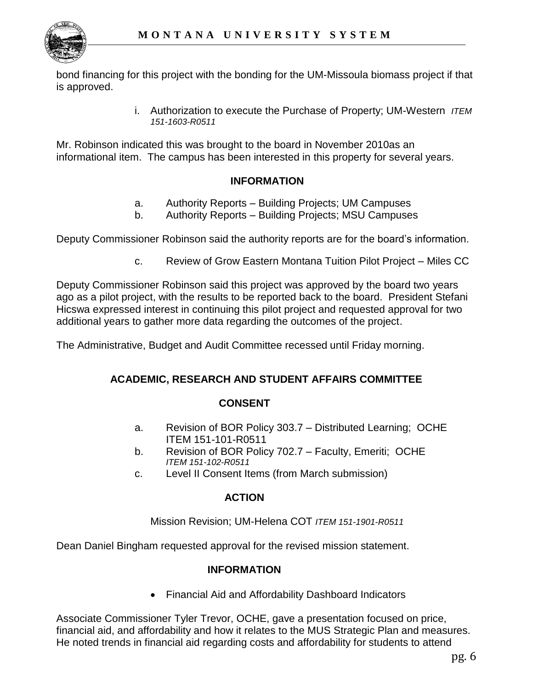

bond financing for this project with the bonding for the UM-Missoula biomass project if that is approved.

> i. Authorization to execute the Purchase of Property; UM-Western *ITEM 151-1603-R0511*

Mr. Robinson indicated this was brought to the board in November 2010as an informational item. The campus has been interested in this property for several years.

# **INFORMATION**

- a. Authority Reports Building Projects; UM Campuses
- b. Authority Reports Building Projects; MSU Campuses

Deputy Commissioner Robinson said the authority reports are for the board's information.

c. Review of Grow Eastern Montana Tuition Pilot Project – Miles CC

Deputy Commissioner Robinson said this project was approved by the board two years ago as a pilot project, with the results to be reported back to the board. President Stefani Hicswa expressed interest in continuing this pilot project and requested approval for two additional years to gather more data regarding the outcomes of the project.

The Administrative, Budget and Audit Committee recessed until Friday morning.

### **ACADEMIC, RESEARCH AND STUDENT AFFAIRS COMMITTEE**

### **CONSENT**

- a. Revision of BOR Policy 303.7 Distributed Learning; OCHE ITEM 151-101-R0511
- b. Revision of BOR Policy 702.7 Faculty, Emeriti; OCHE *ITEM 151-102-R0511*
- c. Level II Consent Items (from March submission)

### **ACTION**

Mission Revision; UM-Helena COT *ITEM 151-1901-R0511* 

Dean Daniel Bingham requested approval for the revised mission statement.

### **INFORMATION**

Financial Aid and Affordability Dashboard Indicators

Associate Commissioner Tyler Trevor, OCHE, gave a presentation focused on price, financial aid, and affordability and how it relates to the MUS Strategic Plan and measures. He noted trends in financial aid regarding costs and affordability for students to attend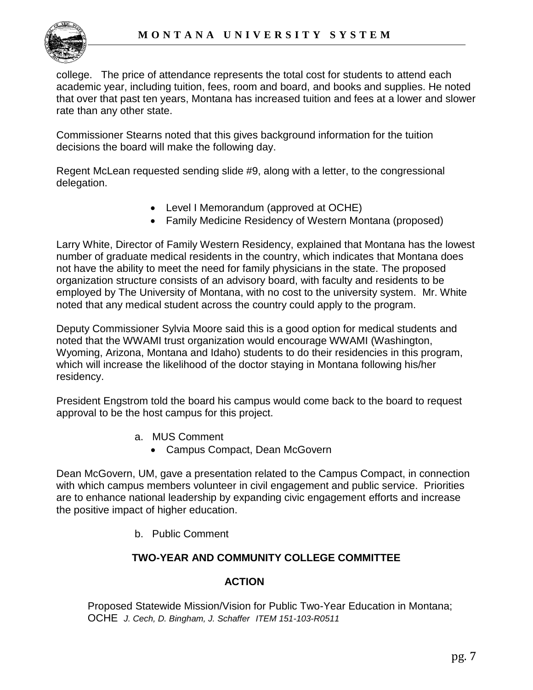

college. The price of attendance represents the total cost for students to attend each academic year, including tuition, fees, room and board, and books and supplies. He noted that over that past ten years, Montana has increased tuition and fees at a lower and slower rate than any other state.

Commissioner Stearns noted that this gives background information for the tuition decisions the board will make the following day.

Regent McLean requested sending slide #9, along with a letter, to the congressional delegation.

- Level I Memorandum (approved at OCHE)
- Family Medicine Residency of Western Montana (proposed)

Larry White, Director of Family Western Residency, explained that Montana has the lowest number of graduate medical residents in the country, which indicates that Montana does not have the ability to meet the need for family physicians in the state. The proposed organization structure consists of an advisory board, with faculty and residents to be employed by The University of Montana, with no cost to the university system. Mr. White noted that any medical student across the country could apply to the program.

Deputy Commissioner Sylvia Moore said this is a good option for medical students and noted that the WWAMI trust organization would encourage WWAMI (Washington, Wyoming, Arizona, Montana and Idaho) students to do their residencies in this program, which will increase the likelihood of the doctor staying in Montana following his/her residency.

President Engstrom told the board his campus would come back to the board to request approval to be the host campus for this project.

- a. MUS Comment
	- Campus Compact, Dean McGovern

Dean McGovern, UM, gave a presentation related to the Campus Compact, in connection with which campus members volunteer in civil engagement and public service. Priorities are to enhance national leadership by expanding civic engagement efforts and increase the positive impact of higher education.

b. Public Comment

# **TWO-YEAR AND COMMUNITY COLLEGE COMMITTEE**

# **ACTION**

Proposed Statewide Mission/Vision for Public Two-Year Education in Montana; OCHE *J. Cech, D. Bingham, J. Schaffer ITEM 151-103-R0511*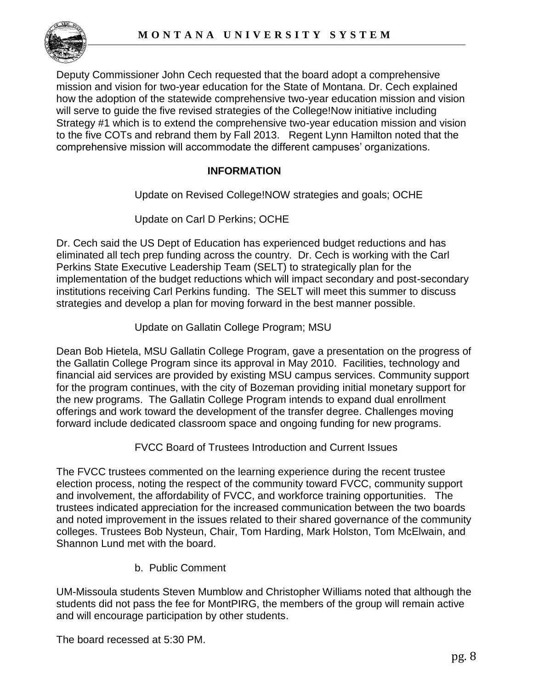

Deputy Commissioner John Cech requested that the board adopt a comprehensive mission and vision for two-year education for the State of Montana. Dr. Cech explained how the adoption of the statewide comprehensive two-year education mission and vision will serve to guide the five revised strategies of the College!Now initiative including Strategy #1 which is to extend the comprehensive two-year education mission and vision to the five COTs and rebrand them by Fall 2013. Regent Lynn Hamilton noted that the comprehensive mission will accommodate the different campuses' organizations.

# **INFORMATION**

Update on Revised College!NOW strategies and goals; OCHE

Update on Carl D Perkins; OCHE

Dr. Cech said the US Dept of Education has experienced budget reductions and has eliminated all tech prep funding across the country. Dr. Cech is working with the Carl Perkins State Executive Leadership Team (SELT) to strategically plan for the implementation of the budget reductions which will impact secondary and post-secondary institutions receiving Carl Perkins funding. The SELT will meet this summer to discuss strategies and develop a plan for moving forward in the best manner possible.

Update on Gallatin College Program; MSU

Dean Bob Hietela, MSU Gallatin College Program, gave a presentation on the progress of the Gallatin College Program since its approval in May 2010. Facilities, technology and financial aid services are provided by existing MSU campus services. Community support for the program continues, with the city of Bozeman providing initial monetary support for the new programs. The Gallatin College Program intends to expand dual enrollment offerings and work toward the development of the transfer degree. Challenges moving forward include dedicated classroom space and ongoing funding for new programs.

FVCC Board of Trustees Introduction and Current Issues

The FVCC trustees commented on the learning experience during the recent trustee election process, noting the respect of the community toward FVCC, community support and involvement, the affordability of FVCC, and workforce training opportunities. The trustees indicated appreciation for the increased communication between the two boards and noted improvement in the issues related to their shared governance of the community colleges. Trustees Bob Nysteun, Chair, Tom Harding, Mark Holston, Tom McElwain, and Shannon Lund met with the board.

b. Public Comment

UM-Missoula students Steven Mumblow and Christopher Williams noted that although the students did not pass the fee for MontPIRG, the members of the group will remain active and will encourage participation by other students.

The board recessed at 5:30 PM.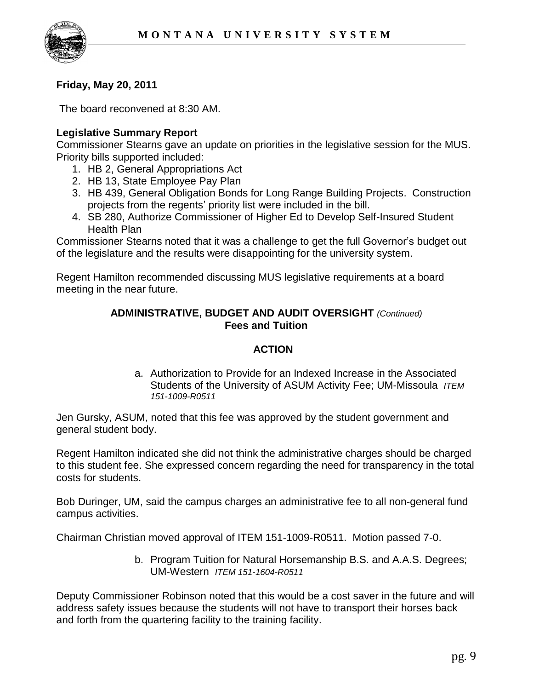

# **Friday, May 20, 2011**

The board reconvened at 8:30 AM.

## **Legislative Summary Report**

Commissioner Stearns gave an update on priorities in the legislative session for the MUS. Priority bills supported included:

- 1. HB 2, General Appropriations Act
- 2. HB 13, State Employee Pay Plan
- 3. HB 439, General Obligation Bonds for Long Range Building Projects. Construction projects from the regents' priority list were included in the bill.
- 4. SB 280, Authorize Commissioner of Higher Ed to Develop Self-Insured Student Health Plan

Commissioner Stearns noted that it was a challenge to get the full Governor's budget out of the legislature and the results were disappointing for the university system.

Regent Hamilton recommended discussing MUS legislative requirements at a board meeting in the near future.

## **ADMINISTRATIVE, BUDGET AND AUDIT OVERSIGHT** *(Continued)* **Fees and Tuition**

### **ACTION**

a. Authorization to Provide for an Indexed Increase in the Associated Students of the University of ASUM Activity Fee; UM-Missoula *ITEM 151-1009-R0511*

Jen Gursky, ASUM, noted that this fee was approved by the student government and general student body.

Regent Hamilton indicated she did not think the administrative charges should be charged to this student fee. She expressed concern regarding the need for transparency in the total costs for students.

Bob Duringer, UM, said the campus charges an administrative fee to all non-general fund campus activities.

Chairman Christian moved approval of ITEM 151-1009-R0511. Motion passed 7-0.

b. Program Tuition for Natural Horsemanship B.S. and A.A.S. Degrees; UM-Western *ITEM 151-1604-R0511*

Deputy Commissioner Robinson noted that this would be a cost saver in the future and will address safety issues because the students will not have to transport their horses back and forth from the quartering facility to the training facility.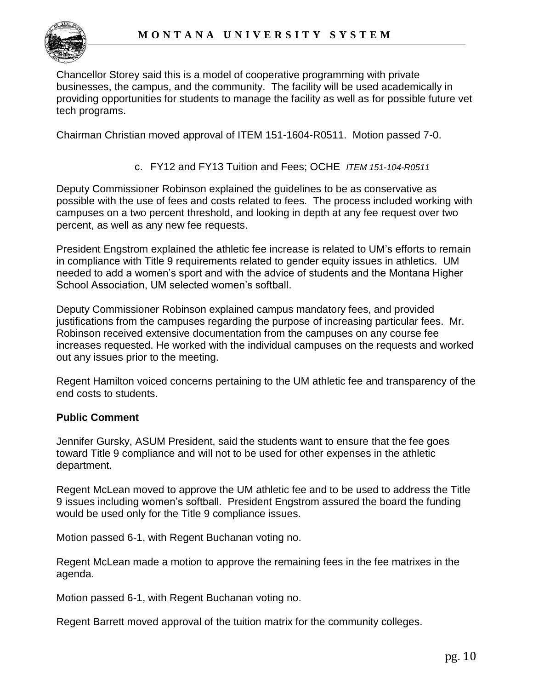

Chancellor Storey said this is a model of cooperative programming with private businesses, the campus, and the community. The facility will be used academically in providing opportunities for students to manage the facility as well as for possible future vet tech programs.

Chairman Christian moved approval of ITEM 151-1604-R0511. Motion passed 7-0.

### c. FY12 and FY13 Tuition and Fees; OCHE *ITEM 151-104-R0511*

Deputy Commissioner Robinson explained the guidelines to be as conservative as possible with the use of fees and costs related to fees. The process included working with campuses on a two percent threshold, and looking in depth at any fee request over two percent, as well as any new fee requests.

President Engstrom explained the athletic fee increase is related to UM's efforts to remain in compliance with Title 9 requirements related to gender equity issues in athletics. UM needed to add a women's sport and with the advice of students and the Montana Higher School Association, UM selected women's softball.

Deputy Commissioner Robinson explained campus mandatory fees, and provided justifications from the campuses regarding the purpose of increasing particular fees. Mr. Robinson received extensive documentation from the campuses on any course fee increases requested. He worked with the individual campuses on the requests and worked out any issues prior to the meeting.

Regent Hamilton voiced concerns pertaining to the UM athletic fee and transparency of the end costs to students.

#### **Public Comment**

Jennifer Gursky, ASUM President, said the students want to ensure that the fee goes toward Title 9 compliance and will not to be used for other expenses in the athletic department.

Regent McLean moved to approve the UM athletic fee and to be used to address the Title 9 issues including women's softball. President Engstrom assured the board the funding would be used only for the Title 9 compliance issues.

Motion passed 6-1, with Regent Buchanan voting no.

Regent McLean made a motion to approve the remaining fees in the fee matrixes in the agenda.

Motion passed 6-1, with Regent Buchanan voting no.

Regent Barrett moved approval of the tuition matrix for the community colleges.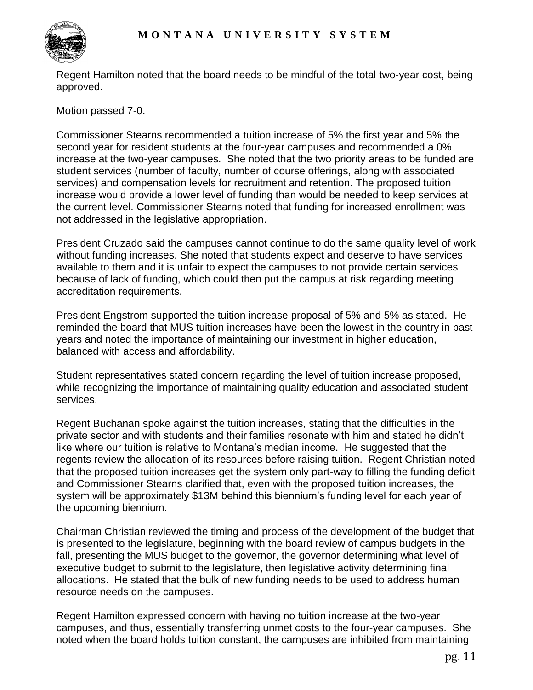

Regent Hamilton noted that the board needs to be mindful of the total two-year cost, being approved.

Motion passed 7-0.

Commissioner Stearns recommended a tuition increase of 5% the first year and 5% the second year for resident students at the four-year campuses and recommended a 0% increase at the two-year campuses. She noted that the two priority areas to be funded are student services (number of faculty, number of course offerings, along with associated services) and compensation levels for recruitment and retention. The proposed tuition increase would provide a lower level of funding than would be needed to keep services at the current level. Commissioner Stearns noted that funding for increased enrollment was not addressed in the legislative appropriation.

President Cruzado said the campuses cannot continue to do the same quality level of work without funding increases. She noted that students expect and deserve to have services available to them and it is unfair to expect the campuses to not provide certain services because of lack of funding, which could then put the campus at risk regarding meeting accreditation requirements.

President Engstrom supported the tuition increase proposal of 5% and 5% as stated. He reminded the board that MUS tuition increases have been the lowest in the country in past years and noted the importance of maintaining our investment in higher education, balanced with access and affordability.

Student representatives stated concern regarding the level of tuition increase proposed, while recognizing the importance of maintaining quality education and associated student services.

Regent Buchanan spoke against the tuition increases, stating that the difficulties in the private sector and with students and their families resonate with him and stated he didn't like where our tuition is relative to Montana's median income. He suggested that the regents review the allocation of its resources before raising tuition. Regent Christian noted that the proposed tuition increases get the system only part-way to filling the funding deficit and Commissioner Stearns clarified that, even with the proposed tuition increases, the system will be approximately \$13M behind this biennium's funding level for each year of the upcoming biennium.

Chairman Christian reviewed the timing and process of the development of the budget that is presented to the legislature, beginning with the board review of campus budgets in the fall, presenting the MUS budget to the governor, the governor determining what level of executive budget to submit to the legislature, then legislative activity determining final allocations. He stated that the bulk of new funding needs to be used to address human resource needs on the campuses.

Regent Hamilton expressed concern with having no tuition increase at the two-year campuses, and thus, essentially transferring unmet costs to the four-year campuses. She noted when the board holds tuition constant, the campuses are inhibited from maintaining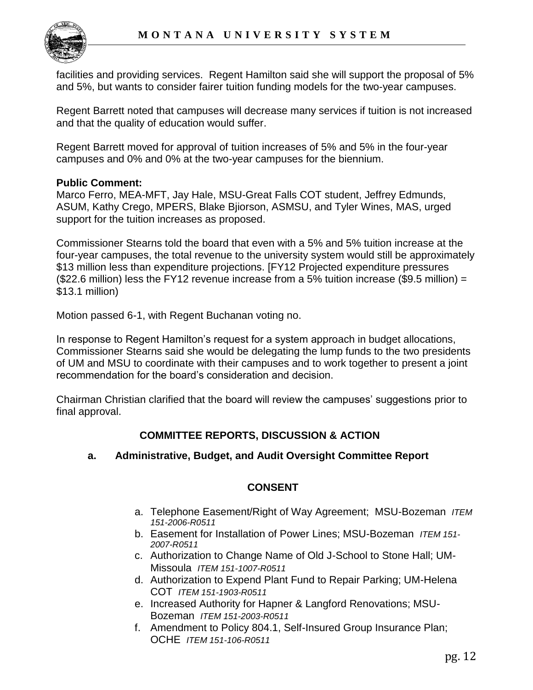

facilities and providing services. Regent Hamilton said she will support the proposal of 5% and 5%, but wants to consider fairer tuition funding models for the two-year campuses.

Regent Barrett noted that campuses will decrease many services if tuition is not increased and that the quality of education would suffer.

Regent Barrett moved for approval of tuition increases of 5% and 5% in the four-year campuses and 0% and 0% at the two-year campuses for the biennium.

## **Public Comment:**

Marco Ferro, MEA-MFT, Jay Hale, MSU-Great Falls COT student, Jeffrey Edmunds, ASUM, Kathy Crego, MPERS, Blake Bjiorson, ASMSU, and Tyler Wines, MAS, urged support for the tuition increases as proposed.

Commissioner Stearns told the board that even with a 5% and 5% tuition increase at the four-year campuses, the total revenue to the university system would still be approximately \$13 million less than expenditure projections. [FY12 Projected expenditure pressures (\$22.6 million) less the FY12 revenue increase from a 5% tuition increase (\$9.5 million) = \$13.1 million)

Motion passed 6-1, with Regent Buchanan voting no.

In response to Regent Hamilton's request for a system approach in budget allocations, Commissioner Stearns said she would be delegating the lump funds to the two presidents of UM and MSU to coordinate with their campuses and to work together to present a joint recommendation for the board's consideration and decision.

Chairman Christian clarified that the board will review the campuses' suggestions prior to final approval.

# **COMMITTEE REPORTS, DISCUSSION & ACTION**

# **a. Administrative, Budget, and Audit Oversight Committee Report**

# **CONSENT**

- a. Telephone Easement/Right of Way Agreement; MSU-Bozeman *ITEM 151-2006-R0511*
- b. Easement for Installation of Power Lines; MSU-Bozeman *ITEM 151- 2007-R0511*
- c. Authorization to Change Name of Old J-School to Stone Hall; UM-Missoula *ITEM 151-1007-R0511*
- d. Authorization to Expend Plant Fund to Repair Parking; UM-Helena COT *ITEM 151-1903-R0511*
- e. Increased Authority for Hapner & Langford Renovations; MSU-Bozeman *ITEM 151-2003-R0511*
- f. Amendment to Policy 804.1, Self-Insured Group Insurance Plan; OCHE *ITEM 151-106-R0511*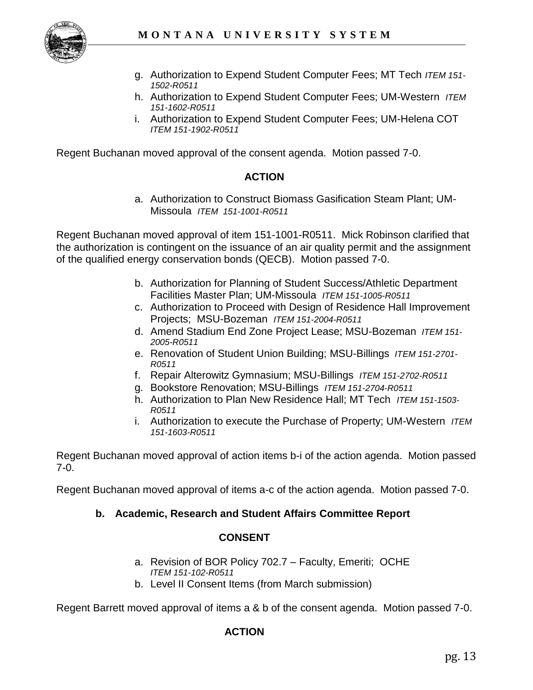

- g. Authorization to Expend Student Computer Fees; MT Tech *ITEM 151- 1502-R0511*
- h. Authorization to Expend Student Computer Fees; UM-Western *ITEM 151-1602-R0511*
- i. Authorization to Expend Student Computer Fees; UM-Helena COT *ITEM 151-1902-R0511*

Regent Buchanan moved approval of the consent agenda. Motion passed 7-0.

# **ACTION**

a. Authorization to Construct Biomass Gasification Steam Plant; UM-Missoula *ITEM 151-1001-R0511* 

Regent Buchanan moved approval of item 151-1001-R0511. Mick Robinson clarified that the authorization is contingent on the issuance of an air quality permit and the assignment of the qualified energy conservation bonds (QECB). Motion passed 7-0.

- b. Authorization for Planning of Student Success/Athletic Department Facilities Master Plan; UM-Missoula *ITEM 151-1005-R0511*
- c. Authorization to Proceed with Design of Residence Hall Improvement Projects; MSU-Bozeman *ITEM 151-2004-R0511*
- d. Amend Stadium End Zone Project Lease; MSU-Bozeman *ITEM 151- 2005-R0511*
- e. Renovation of Student Union Building; MSU-Billings *ITEM 151-2701- R0511*
- f. Repair Alterowitz Gymnasium; MSU-Billings *ITEM 151-2702-R0511*
- g. Bookstore Renovation; MSU-Billings *ITEM 151-2704-R0511*
- h. Authorization to Plan New Residence Hall; MT Tech *ITEM 151-1503- R0511*
- i. Authorization to execute the Purchase of Property; UM-Western *ITEM 151-1603-R0511*

Regent Buchanan moved approval of action items b-i of the action agenda. Motion passed 7-0.

Regent Buchanan moved approval of items a-c of the action agenda. Motion passed 7-0.

# **b. Academic, Research and Student Affairs Committee Report**

### **CONSENT**

- a. Revision of BOR Policy 702.7 Faculty, Emeriti; OCHE *ITEM 151-102-R0511*
- b. Level II Consent Items (from March submission)

Regent Barrett moved approval of items a & b of the consent agenda. Motion passed 7-0.

### **ACTION**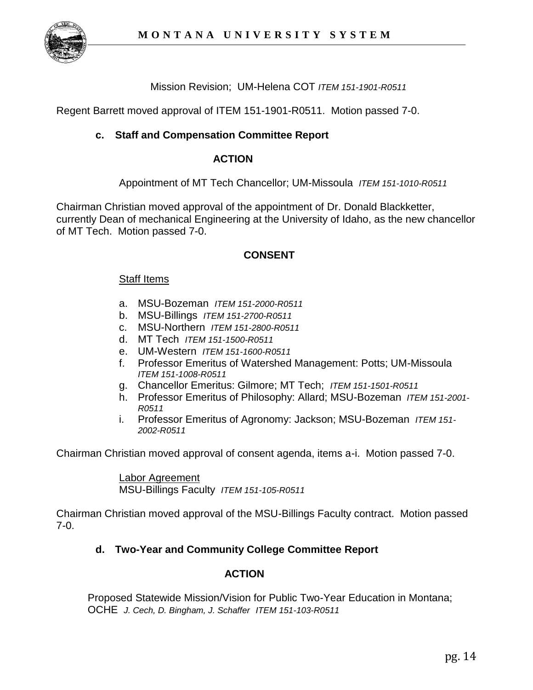

Mission Revision; UM-Helena COT *ITEM 151-1901-R0511* 

Regent Barrett moved approval of ITEM 151-1901-R0511. Motion passed 7-0.

### **c. Staff and Compensation Committee Report**

#### **ACTION**

Appointment of MT Tech Chancellor; UM-Missoula *ITEM 151-1010-R0511*

Chairman Christian moved approval of the appointment of Dr. Donald Blackketter, currently Dean of mechanical Engineering at the University of Idaho, as the new chancellor of MT Tech. Motion passed 7-0.

### **CONSENT**

#### Staff Items

- a. MSU-Bozeman *ITEM 151-2000-R0511*
- b. MSU-Billings *ITEM 151-2700-R0511*
- c. MSU-Northern *ITEM 151-2800-R0511*
- d. MT Tech *ITEM 151-1500-R0511*
- e. UM-Western *ITEM 151-1600-R0511*
- f. Professor Emeritus of Watershed Management: Potts; UM-Missoula *ITEM 151-1008-R0511*
- g. Chancellor Emeritus: Gilmore; MT Tech; *ITEM 151-1501-R0511*
- h. Professor Emeritus of Philosophy: Allard; MSU-Bozeman *ITEM 151-2001- R0511*
- i. Professor Emeritus of Agronomy: Jackson; MSU-Bozeman *ITEM 151- 2002-R0511*

Chairman Christian moved approval of consent agenda, items a-i. Motion passed 7-0.

Labor Agreement MSU-Billings Faculty *ITEM 151-105-R0511*

Chairman Christian moved approval of the MSU-Billings Faculty contract. Motion passed 7-0.

### **d. Two-Year and Community College Committee Report**

### **ACTION**

Proposed Statewide Mission/Vision for Public Two-Year Education in Montana; OCHE *J. Cech, D. Bingham, J. Schaffer ITEM 151-103-R0511*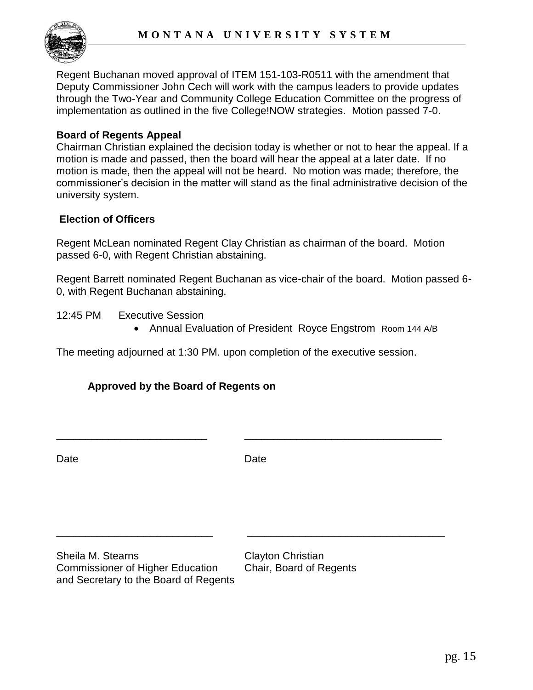

Regent Buchanan moved approval of ITEM 151-103-R0511 with the amendment that Deputy Commissioner John Cech will work with the campus leaders to provide updates through the Two-Year and Community College Education Committee on the progress of implementation as outlined in the five College!NOW strategies. Motion passed 7-0.

## **Board of Regents Appeal**

Chairman Christian explained the decision today is whether or not to hear the appeal. If a motion is made and passed, then the board will hear the appeal at a later date. If no motion is made, then the appeal will not be heard. No motion was made; therefore, the commissioner's decision in the matter will stand as the final administrative decision of the university system.

## **Election of Officers**

Regent McLean nominated Regent Clay Christian as chairman of the board. Motion passed 6-0, with Regent Christian abstaining.

Regent Barrett nominated Regent Buchanan as vice-chair of the board. Motion passed 6- 0, with Regent Buchanan abstaining.

12:45 PM Executive Session

Annual Evaluation of President Royce Engstrom Room 144 A/B

The meeting adjourned at 1:30 PM. upon completion of the executive session.

# **Approved by the Board of Regents on**

Date **Date** Date **Date** 

\_\_\_\_\_\_\_\_\_\_\_\_\_\_\_\_\_\_\_\_\_\_\_\_\_\_\_ \_\_\_\_\_\_\_\_\_\_\_\_\_\_\_\_\_\_\_\_\_\_\_\_\_\_\_\_\_\_\_\_\_\_

\_\_\_\_\_\_\_\_\_\_\_\_\_\_\_\_\_\_\_\_\_\_\_\_\_\_ \_\_\_\_\_\_\_\_\_\_\_\_\_\_\_\_\_\_\_\_\_\_\_\_\_\_\_\_\_\_\_\_\_\_

Sheila M. Stearns Clayton Christian Commissioner of Higher Education Chair, Board of Regents and Secretary to the Board of Regents